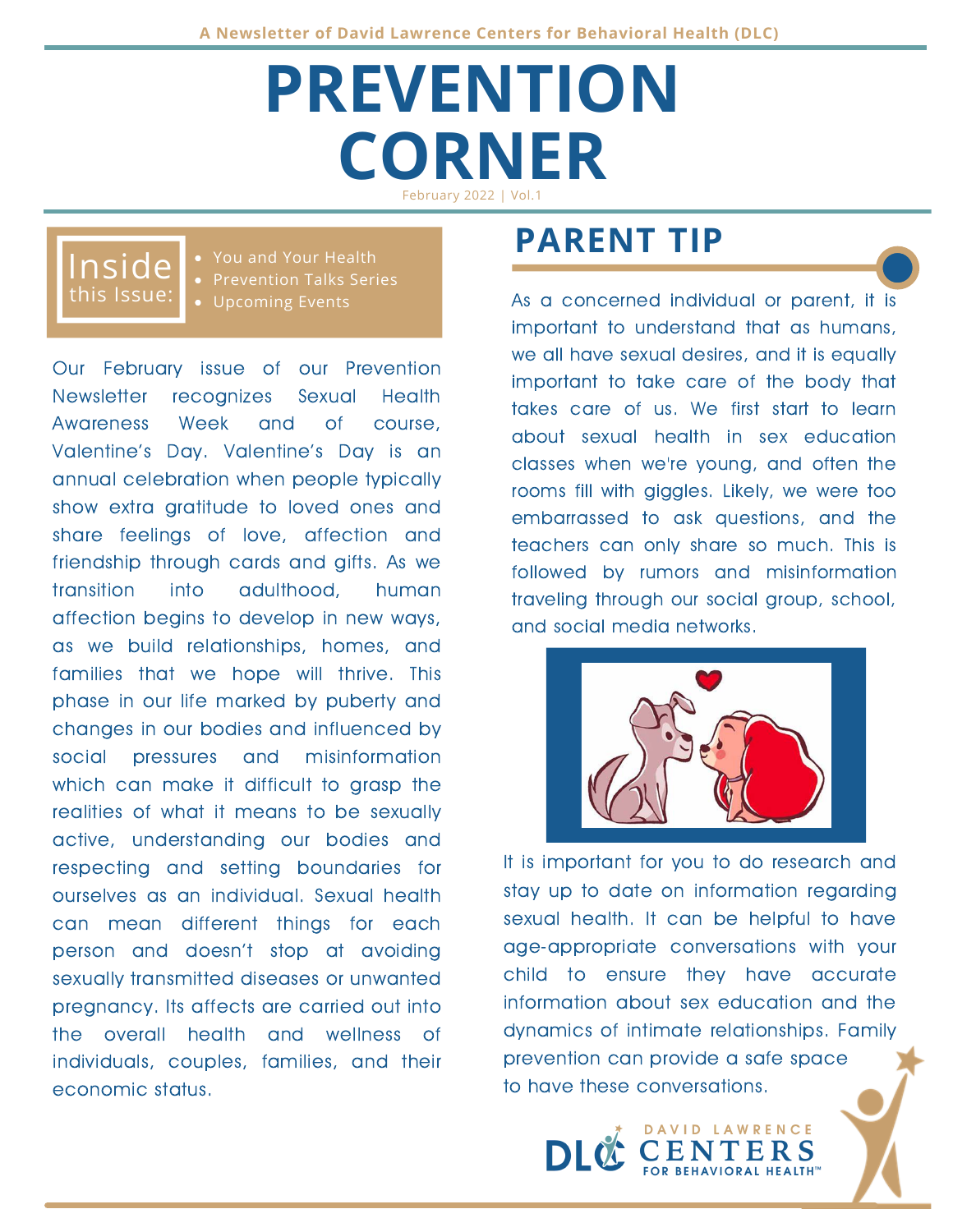# **PREVENTION CORNER** February 2022 | Vol.1

### this Issue: Inside

You and Your Health • Prevention Talks Series Upcoming Events

Our February issue of our Prevention Newsletter recognizes Sexual Health Awareness Week and of course, Valentine's Day. Valentine's Day is an annual celebration when people typically show extra gratitude to loved ones and share feelings of love, affection and friendship through cards and gifts. As we transition into adulthood, human affection begins to develop in new ways, as we build relationships, homes, and families that we hope will thrive. This phase in our life marked by puberty and changes in our bodies and influenced by social pressures and misinformation which can make it difficult to grasp the realities of what it means to be sexually active, understanding our bodies and respecting and setting boundaries for ourselves as an individual. Sexual health can mean different things for each person and doesn't stop at avoiding sexually transmitted diseases or unwanted pregnancy. Its affects are carried out into the overall health and wellness of individuals, couples, families, and their economic status.

## **PARENT TIP**

As a concerned individual or parent, it is important to understand that as humans, we all have sexual desires, and it is equally important to take care of the body that takes care of us. We first start to learn about sexual health in sex education classes when we're young, and often the rooms fill with giggles. Likely, we were too embarrassed to ask questions, and the teachers can only share so much. This is followed by rumors and misinformation traveling through our social group, school, and social media networks.



It is important for you to do research and stay up to date on information regarding sexual health. It can be helpful to have age-appropriate conversations with your child to ensure they have accurate information about sex education and the dynamics of intimate relationships. Family prevention can provide a safe space to have these conversations.